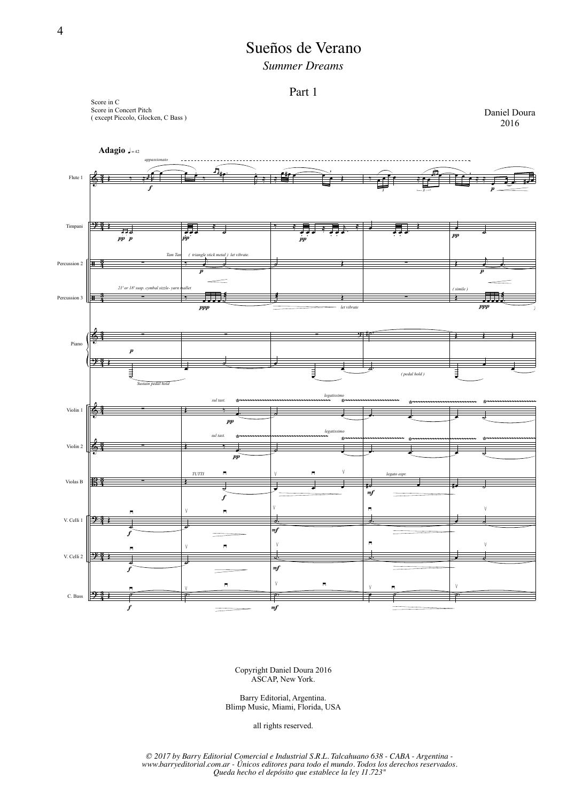

## Sueños de Verano *Summer Dreams*



*© 2017 by Barry Editorial Comercial e Industrial S.R.L. Talcahuano 638 - CABA - Argentina www.barryeditorial.com.ar - Únicos editores para todo el mundo. Todos los derechos reservados. Queda hecho el depósito que establece la ley 11.723"*

Copyright Daniel Doura 2016 ASCAP, New York.

Barry Editorial, Argentina. Blimp Music, Miami, Florida, USA

all rights reserved.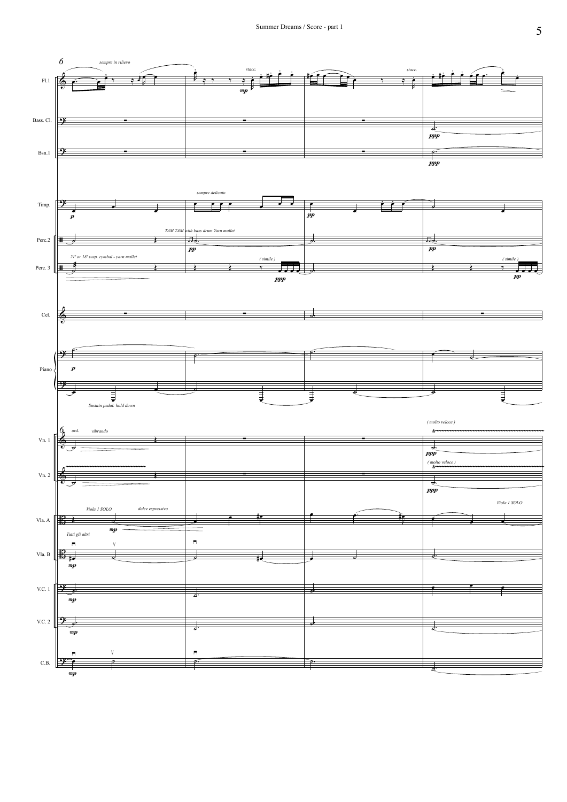